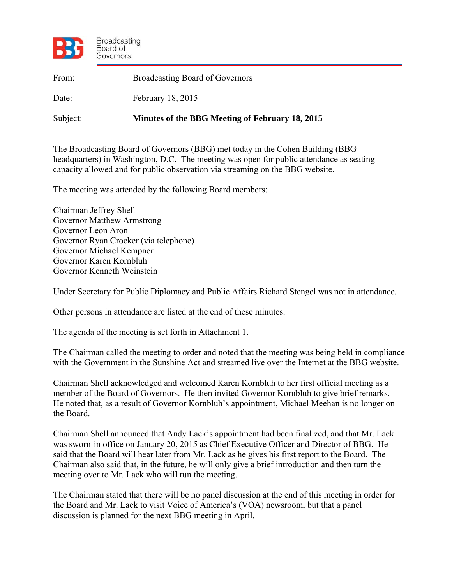

| From:    | <b>Broadcasting Board of Governors</b>          |
|----------|-------------------------------------------------|
| Date:    | February 18, 2015                               |
| Subject: | Minutes of the BBG Meeting of February 18, 2015 |

The Broadcasting Board of Governors (BBG) met today in the Cohen Building (BBG headquarters) in Washington, D.C. The meeting was open for public attendance as seating capacity allowed and for public observation via streaming on the BBG website.

The meeting was attended by the following Board members:

Chairman Jeffrey Shell Governor Matthew Armstrong Governor Leon Aron Governor Ryan Crocker (via telephone) Governor Michael Kempner Governor Karen Kornbluh Governor Kenneth Weinstein

Under Secretary for Public Diplomacy and Public Affairs Richard Stengel was not in attendance.

Other persons in attendance are listed at the end of these minutes.

The agenda of the meeting is set forth in Attachment 1.

The Chairman called the meeting to order and noted that the meeting was being held in compliance with the Government in the Sunshine Act and streamed live over the Internet at the BBG website.

Chairman Shell acknowledged and welcomed Karen Kornbluh to her first official meeting as a member of the Board of Governors. He then invited Governor Kornbluh to give brief remarks. He noted that, as a result of Governor Kornbluh's appointment, Michael Meehan is no longer on the Board.

Chairman Shell announced that Andy Lack's appointment had been finalized, and that Mr. Lack was sworn-in office on January 20, 2015 as Chief Executive Officer and Director of BBG. He said that the Board will hear later from Mr. Lack as he gives his first report to the Board. The Chairman also said that, in the future, he will only give a brief introduction and then turn the meeting over to Mr. Lack who will run the meeting.

The Chairman stated that there will be no panel discussion at the end of this meeting in order for the Board and Mr. Lack to visit Voice of America's (VOA) newsroom, but that a panel discussion is planned for the next BBG meeting in April.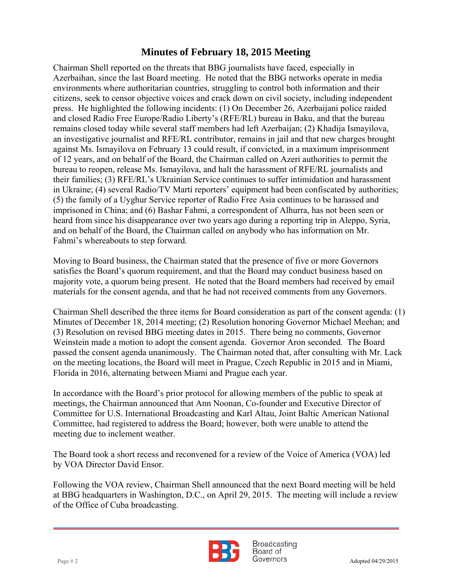press. He highlighted the following incidents: (1) On December 26, Azerbaijani police raided Chairman Shell reported on the threats that BBG journalists have faced, especially in Azerbaihan, since the last Board meeting. He noted that the BBG networks operate in media environments where authoritarian countries, struggling to control both information and their citizens, seek to censor objective voices and crack down on civil society, including independent and closed Radio Free Europe/Radio Liberty's (RFE/RL) bureau in Baku, and that the bureau remains closed today while several staff members had left Azerbaijan; (2) Khadija Ismayilova, an investigative journalist and RFE/RL contributor, remains in jail and that new charges brought against Ms. Ismayilova on February 13 could result, if convicted, in a maximum imprisonment of 12 years, and on behalf of the Board, the Chairman called on Azeri authorities to permit the bureau to reopen, release Ms. Ismayilova, and halt the harassment of RFE/RL journalists and their families; (3) RFE/RL's Ukrainian Service continues to suffer intimidation and harassment in Ukraine; (4) several Radio/TV Martí reporters' equipment had been confiscated by authorities; (5) the family of a Uyghur Service reporter of Radio Free Asia continues to be harassed and imprisoned in China; and (6) Bashar Fahmi, a correspondent of Alhurra, has not been seen or heard from since his disappearance over two years ago during a reporting trip in Aleppo, Syria, and on behalf of the Board, the Chairman called on anybody who has information on Mr. Fahmi's whereabouts to step forward.

Moving to Board business, the Chairman stated that the presence of five or more Governors satisfies the Board's quorum requirement, and that the Board may conduct business based on majority vote, a quorum being present. He noted that the Board members had received by email materials for the consent agenda, and that he had not received comments from any Governors.

Chairman Shell described the three items for Board consideration as part of the consent agenda: (1) Minutes of December 18, 2014 meeting; (2) Resolution honoring Governor Michael Meehan; and (3) Resolution on revised BBG meeting dates in 2015. There being no comments, Governor Weinstein made a motion to adopt the consent agenda. Governor Aron seconded. The Board passed the consent agenda unanimously. The Chairman noted that, after consulting with Mr. Lack on the meeting locations, the Board will meet in Prague, Czech Republic in 2015 and in Miami, Florida in 2016, alternating between Miami and Prague each year.

In accordance with the Board's prior protocol for allowing members of the public to speak at meetings, the Chairman announced that Ann Noonan, Co-founder and Executive Director of Committee for U.S. International Broadcasting and Karl Altau, Joint Baltic American National Committee, had registered to address the Board; however, both were unable to attend the meeting due to inclement weather.

The Board took a short recess and reconvened for a review of the Voice of America (VOA) led by VOA Director David Ensor.

Following the VOA review, Chairman Shell announced that the next Board meeting will be held at BBG headquarters in Washington, D.C., on April 29, 2015. The meeting will include a review of the Office of Cuba broadcasting.



**Broadcasting** Board of  $Page # 2$  Adopted 04/29/2015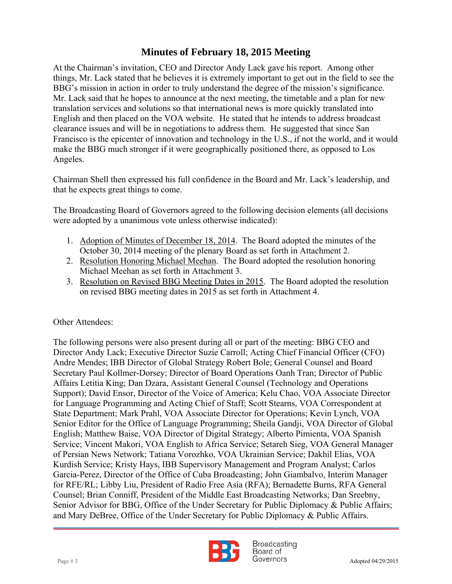translation services and solutions so that international news is more quickly translated into At the Chairman's invitation, CEO and Director Andy Lack gave his report. Among other things, Mr. Lack stated that he believes it is extremely important to get out in the field to see the BBG's mission in action in order to truly understand the degree of the mission's significance. Mr. Lack said that he hopes to announce at the next meeting, the timetable and a plan for new English and then placed on the VOA website. He stated that he intends to address broadcast clearance issues and will be in negotiations to address them. He suggested that since San Francisco is the epicenter of innovation and technology in the U.S., if not the world, and it would make the BBG much stronger if it were geographically positioned there, as opposed to Los Angeles.

Chairman Shell then expressed his full confidence in the Board and Mr. Lack's leadership, and that he expects great things to come.

The Broadcasting Board of Governors agreed to the following decision elements (all decisions were adopted by a unanimous vote unless otherwise indicated):

- 1. Adoption of Minutes of December 18, 2014. The Board adopted the minutes of the October 30, 2014 meeting of the plenary Board as set forth in Attachment 2.
- 2. Resolution Honoring Michael Meehan. The Board adopted the resolution honoring Michael Meehan as set forth in Attachment 3.
- 3. Resolution on Revised BBG Meeting Dates in 2015. The Board adopted the resolution on revised BBG meeting dates in 2015 as set forth in Attachment 4.

Other Attendees:

The following persons were also present during all or part of the meeting: BBG CEO and Director Andy Lack; Executive Director Suzie Carroll; Acting Chief Financial Officer (CFO) Andre Mendes; IBB Director of Global Strategy Robert Bole; General Counsel and Board Secretary Paul Kollmer-Dorsey; Director of Board Operations Oanh Tran; Director of Public Affairs Letitia King; Dan Dzara, Assistant General Counsel (Technology and Operations Support); David Ensor, Director of the Voice of America; Kelu Chao, VOA Associate Director for Language Programming and Acting Chief of Staff; Scott Stearns, VOA Correspondent at State Department; Mark Prahl, VOA Associate Director for Operations; Kevin Lynch, VOA Senior Editor for the Office of Language Programming; Sheila Gandji, VOA Director of Global English; Matthew Baise, VOA Director of Digital Strategy; Alberto Pimienta, VOA Spanish Service; Vincent Makori, VOA English to Africa Service; Setareh Sieg, VOA General Manager of Persian News Network; Tatiana Vorozhko, VOA Ukrainian Service; Dakhil Elias, VOA Kurdish Service; Kristy Hays, IBB Supervisory Management and Program Analyst; Carlos Garcia-Perez, Director of the Office of Cuba Broadcasting; John Giambalvo, Interim Manager for RFE/RL; Libby Liu, President of Radio Free Asia (RFA); Bernadette Burns, RFA General Counsel; Brian Conniff, President of the Middle East Broadcasting Networks; Dan Sreebny, Senior Advisor for BBG, Office of the Under Secretary for Public Diplomacy & Public Affairs; and Mary DeBree, Office of the Under Secretary for Public Diplomacy & Public Affairs.



**Broadcasting** Board of Page # 3 Adopted 04/29/2015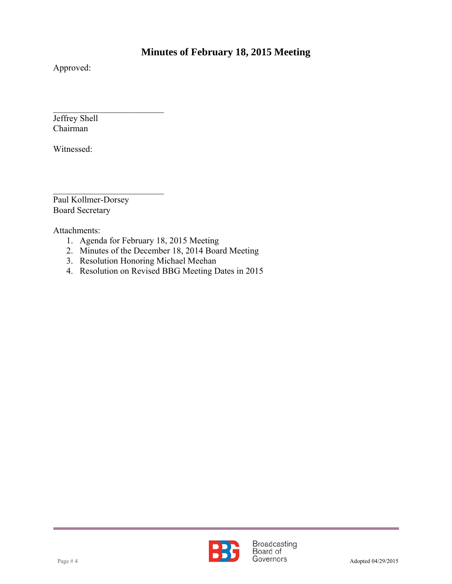Approved:

 $\overline{a}$ Jeffrey Shell Chairman

Witnessed:

 $\mathcal{L}_\text{max}$ Paul Kollmer-Dorsey Board Secretary

 $\mathcal{L}_\text{max}$  , where  $\mathcal{L}_\text{max}$  , we have the set of  $\mathcal{L}_\text{max}$ 

Attachments:

- 1. Agenda for February 18, 2015 Meeting
- 2. Minutes of the December 18, 2014 Board Meeting
- 3. Resolution Honoring Michael Meehan
- 4. Resolution on Revised BBG Meeting Dates in 2015

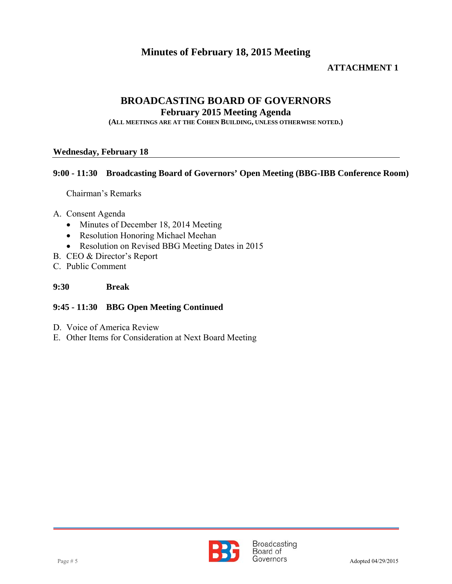#### **ATTACHMENT 1**

# **BROADCASTING BOARD OF GOVERNORS**

**February 2015 Meeting Agenda** 

**(ALL MEETINGS ARE AT THE COHEN BUILDING, UNLESS OTHERWISE NOTED.)**

#### **Wednesday, February 18**

#### **9:00 - 11:30 Broadcasting Board of Governors' Open Meeting (BBG-IBB Conference Room)**

Chairman's Remarks

- A. Consent Agenda
	- Minutes of December 18, 2014 Meeting
	- Resolution Honoring Michael Meehan
	- Resolution on Revised BBG Meeting Dates in 2015
- B. CEO & Director's Report
- C. Public Comment

#### **9:30 Break**

#### **9:45 - 11:30 BBG Open Meeting Continued**

- D. Voice of America Review
- E. Other Items for Consideration at Next Board Meeting

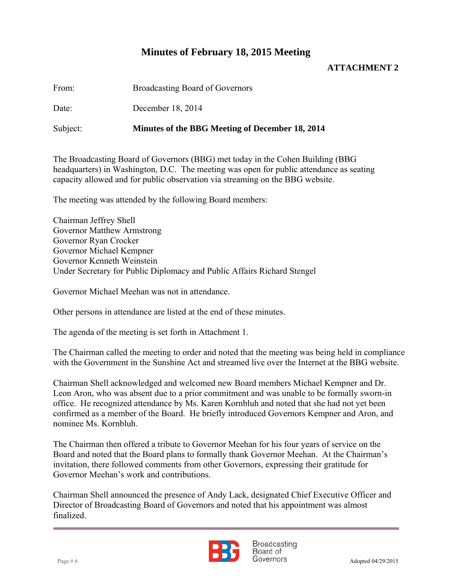#### **ATTACHMENT 2**

From: Broadcasting Board of Governors

Date<sup>-</sup> December 18, 2014

Subject: **Minutes of the BBG Meeting of December 18, 2014**

The Broadcasting Board of Governors (BBG) met today in the Cohen Building (BBG headquarters) in Washington, D.C. The meeting was open for public attendance as seating capacity allowed and for public observation via streaming on the BBG website.

The meeting was attended by the following Board members:

Chairman Jeffrey Shell Governor Matthew Armstrong Governor Ryan Crocker Governor Michael Kempner Governor Kenneth Weinstein Under Secretary for Public Diplomacy and Public Affairs Richard Stengel

Governor Michael Meehan was not in attendance.

Other persons in attendance are listed at the end of these minutes.

The agenda of the meeting is set forth in Attachment 1.

The Chairman called the meeting to order and noted that the meeting was being held in compliance with the Government in the Sunshine Act and streamed live over the Internet at the BBG website.

Chairman Shell acknowledged and welcomed new Board members Michael Kempner and Dr. Leon Aron, who was absent due to a prior commitment and was unable to be formally sworn-in office. He recognized attendance by Ms. Karen Kornbluh and noted that she had not yet been confirmed as a member of the Board. He briefly introduced Governors Kempner and Aron, and nominee Ms. Kornbluh.

The Chairman then offered a tribute to Governor Meehan for his four years of service on the Board and noted that the Board plans to formally thank Governor Meehan. At the Chairman's invitation, there followed comments from other Governors, expressing their gratitude for Governor Meehan's work and contributions.

Chairman Shell announced the presence of Andy Lack, designated Chief Executive Officer and Director of Broadcasting Board of Governors and noted that his appointment was almost finalized.



**Broadcasting** Board of Page # 6 Adopted 04/29/2015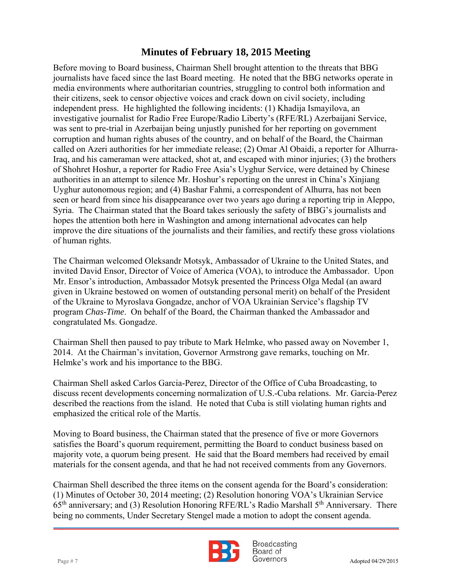independent press. He highlighted the following incidents: (1) Khadija Ismayilova, an Before moving to Board business, Chairman Shell brought attention to the threats that BBG journalists have faced since the last Board meeting. He noted that the BBG networks operate in media environments where authoritarian countries, struggling to control both information and their citizens, seek to censor objective voices and crack down on civil society, including investigative journalist for Radio Free Europe/Radio Liberty's (RFE/RL) Azerbaijani Service, was sent to pre-trial in Azerbaijan being unjustly punished for her reporting on government corruption and human rights abuses of the country, and on behalf of the Board, the Chairman called on Azeri authorities for her immediate release; (2) Omar Al Obaidi, a reporter for Alhurra-Iraq, and his cameraman were attacked, shot at, and escaped with minor injuries; (3) the brothers of Shohret Hoshur, a reporter for Radio Free Asia's Uyghur Service, were detained by Chinese authorities in an attempt to silence Mr. Hoshur's reporting on the unrest in China's Xinjiang Uyghur autonomous region; and (4) Bashar Fahmi, a correspondent of Alhurra, has not been seen or heard from since his disappearance over two years ago during a reporting trip in Aleppo, Syria. The Chairman stated that the Board takes seriously the safety of BBG's journalists and hopes the attention both here in Washington and among international advocates can help improve the dire situations of the journalists and their families, and rectify these gross violations of human rights.

The Chairman welcomed Oleksandr Motsyk, Ambassador of Ukraine to the United States, and invited David Ensor, Director of Voice of America (VOA), to introduce the Ambassador. Upon Mr. Ensor's introduction, Ambassador Motsyk presented the Princess Olga Medal (an award given in Ukraine bestowed on women of outstanding personal merit) on behalf of the President of the Ukraine to Myroslava Gongadze, anchor of VOA Ukrainian Service's flagship TV program *Chas-Time*. On behalf of the Board, the Chairman thanked the Ambassador and congratulated Ms. Gongadze.

Chairman Shell then paused to pay tribute to Mark Helmke, who passed away on November 1, 2014. At the Chairman's invitation, Governor Armstrong gave remarks, touching on Mr. Helmke's work and his importance to the BBG.

Chairman Shell asked Carlos Garcia-Perez, Director of the Office of Cuba Broadcasting, to discuss recent developments concerning normalization of U.S.-Cuba relations. Mr. Garcia-Perez described the reactions from the island. He noted that Cuba is still violating human rights and emphasized the critical role of the Martίs.

Moving to Board business, the Chairman stated that the presence of five or more Governors satisfies the Board's quorum requirement, permitting the Board to conduct business based on majority vote, a quorum being present. He said that the Board members had received by email materials for the consent agenda, and that he had not received comments from any Governors.

Chairman Shell described the three items on the consent agenda for the Board's consideration: (1) Minutes of October 30, 2014 meeting; (2) Resolution honoring VOA's Ukrainian Service  $65<sup>th</sup>$  anniversary; and (3) Resolution Honoring RFE/RL's Radio Marshall  $5<sup>th</sup>$  Anniversary. There being no comments, Under Secretary Stengel made a motion to adopt the consent agenda.



**Broadcasting** Board of Page # 7 Adopted 04/29/2015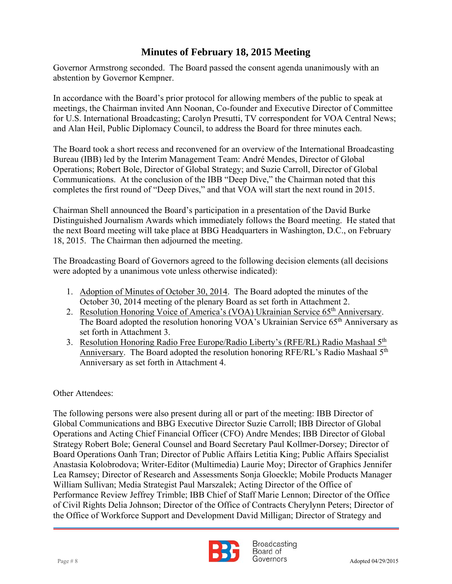Governor Armstrong seconded. The Board passed the consent agenda unanimously with an abstention by Governor Kempner.

 meetings, the Chairman invited Ann Noonan, Co-founder and Executive Director of Committee In accordance with the Board's prior protocol for allowing members of the public to speak at for U.S. International Broadcasting; Carolyn Presutti, TV correspondent for VOA Central News; and Alan Heil, Public Diplomacy Council, to address the Board for three minutes each.

The Board took a short recess and reconvened for an overview of the International Broadcasting Bureau (IBB) led by the Interim Management Team: André Mendes, Director of Global Operations; Robert Bole, Director of Global Strategy; and Suzie Carroll, Director of Global Communications. At the conclusion of the IBB "Deep Dive," the Chairman noted that this completes the first round of "Deep Dives," and that VOA will start the next round in 2015.

Chairman Shell announced the Board's participation in a presentation of the David Burke Distinguished Journalism Awards which immediately follows the Board meeting. He stated that the next Board meeting will take place at BBG Headquarters in Washington, D.C., on February 18, 2015. The Chairman then adjourned the meeting.

The Broadcasting Board of Governors agreed to the following decision elements (all decisions were adopted by a unanimous vote unless otherwise indicated):

- 1. Adoption of Minutes of October 30, 2014. The Board adopted the minutes of the October 30, 2014 meeting of the plenary Board as set forth in Attachment 2.
- 2. Resolution Honoring Voice of America's (VOA) Ukrainian Service 65<sup>th</sup> Anniversary. The Board adopted the resolution honoring VOA's Ukrainian Service 65<sup>th</sup> Anniversary as set forth in Attachment 3.
- 3. Resolution Honoring Radio Free Europe/Radio Liberty's (RFE/RL) Radio Mashaal 5<sup>th</sup> Anniversary. The Board adopted the resolution honoring RFE/RL's Radio Mashaal 5<sup>th</sup> Anniversary as set forth in Attachment 4.

### Other Attendees:

The following persons were also present during all or part of the meeting: IBB Director of Global Communications and BBG Executive Director Suzie Carroll; IBB Director of Global Operations and Acting Chief Financial Officer (CFO) Andre Mendes; IBB Director of Global Strategy Robert Bole; General Counsel and Board Secretary Paul Kollmer-Dorsey; Director of Board Operations Oanh Tran; Director of Public Affairs Letitia King; Public Affairs Specialist Anastasia Kolobrodova; Writer-Editor (Multimedia) Laurie Moy; Director of Graphics Jennifer Lea Ramsey; Director of Research and Assessments Sonja Gloeckle; Mobile Products Manager William Sullivan; Media Strategist Paul Marszalek; Acting Director of the Office of Performance Review Jeffrey Trimble; IBB Chief of Staff Marie Lennon; Director of the Office of Civil Rights Delia Johnson; Director of the Office of Contracts Cherylynn Peters; Director of the Office of Workforce Support and Development David Milligan; Director of Strategy and



**Broadcasting** Board of Page # 8 Adopted 04/29/2015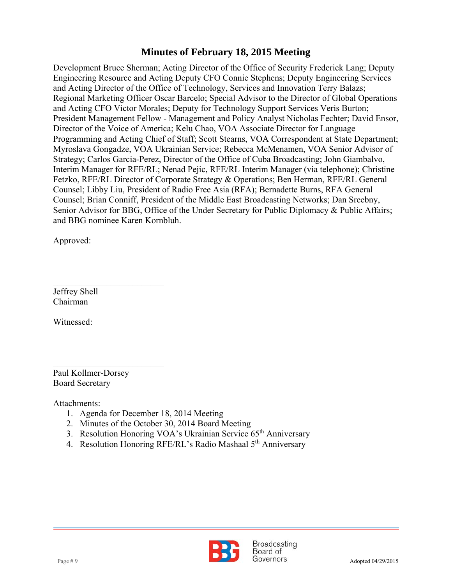and Acting CFO Victor Morales; Deputy for Technology Support Services Veris Burton; Development Bruce Sherman; Acting Director of the Office of Security Frederick Lang; Deputy Engineering Resource and Acting Deputy CFO Connie Stephens; Deputy Engineering Services and Acting Director of the Office of Technology, Services and Innovation Terry Balazs; Regional Marketing Officer Oscar Barcelo; Special Advisor to the Director of Global Operations President Management Fellow - Management and Policy Analyst Nicholas Fechter; David Ensor, Director of the Voice of America; Kelu Chao, VOA Associate Director for Language Programming and Acting Chief of Staff; Scott Stearns, VOA Correspondent at State Department; Myroslava Gongadze, VOA Ukrainian Service; Rebecca McMenamen, VOA Senior Advisor of Strategy; Carlos Garcia-Perez, Director of the Office of Cuba Broadcasting; John Giambalvo, Interim Manager for RFE/RL; Nenad Pejic, RFE/RL Interim Manager (via telephone); Christine Fetzko, RFE/RL Director of Corporate Strategy & Operations; Ben Herman, RFE/RL General Counsel; Libby Liu, President of Radio Free Asia (RFA); Bernadette Burns, RFA General Counsel; Brian Conniff, President of the Middle East Broadcasting Networks; Dan Sreebny, Senior Advisor for BBG, Office of the Under Secretary for Public Diplomacy & Public Affairs; and BBG nominee Karen Kornbluh.

Approved:

Jeffrey Shell Chairman

 $\mathcal{L}_\text{max}$  , where  $\mathcal{L}_\text{max}$  , we have the set of  $\mathcal{L}_\text{max}$ 

Witnessed:

 $\mathcal{L}_\text{max}$  , where  $\mathcal{L}_\text{max}$  , we have the set of  $\mathcal{L}_\text{max}$ Paul Kollmer-Dorsey Board Secretary

Attachments:

- 1. Agenda for December 18, 2014 Meeting
- 2. Minutes of the October 30, 2014 Board Meeting
- 3. Resolution Honoring VOA's Ukrainian Service 65<sup>th</sup> Anniversary
- 4. Resolution Honoring RFE/RL's Radio Mashaal 5<sup>th</sup> Anniversary

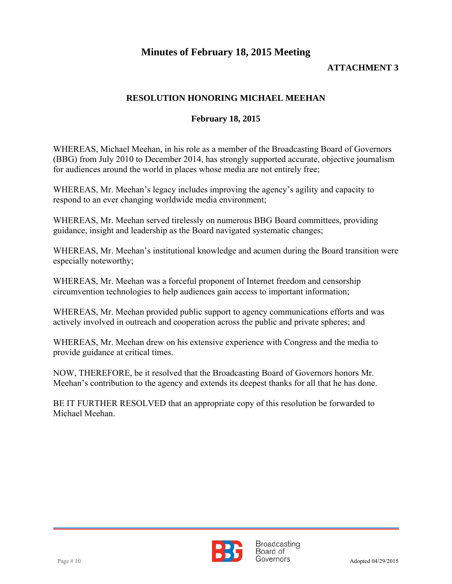### **ATTACHMENT 3**

### **RESOLUTION HONORING MICHAEL MEEHAN**

#### **February 18, 2015**

WHEREAS, Michael Meehan, in his role as a member of the Broadcasting Board of Governors (BBG) from July 2010 to December 2014, has strongly supported accurate, objective journalism for audiences around the world in places whose media are not entirely free;

WHEREAS, Mr. Meehan's legacy includes improving the agency's agility and capacity to respond to an ever changing worldwide media environment;

WHEREAS, Mr. Meehan served tirelessly on numerous BBG Board committees, providing guidance, insight and leadership as the Board navigated systematic changes;

WHEREAS, Mr. Meehan's institutional knowledge and acumen during the Board transition were especially noteworthy;

WHEREAS, Mr. Meehan was a forceful proponent of Internet freedom and censorship circumvention technologies to help audiences gain access to important information;

WHEREAS, Mr. Meehan provided public support to agency communications efforts and was actively involved in outreach and cooperation across the public and private spheres; and

WHEREAS, Mr. Meehan drew on his extensive experience with Congress and the media to provide guidance at critical times.

NOW, THEREFORE, be it resolved that the Broadcasting Board of Governors honors Mr. Meehan's contribution to the agency and extends its deepest thanks for all that he has done.

BE IT FURTHER RESOLVED that an appropriate copy of this resolution be forwarded to Michael Meehan.